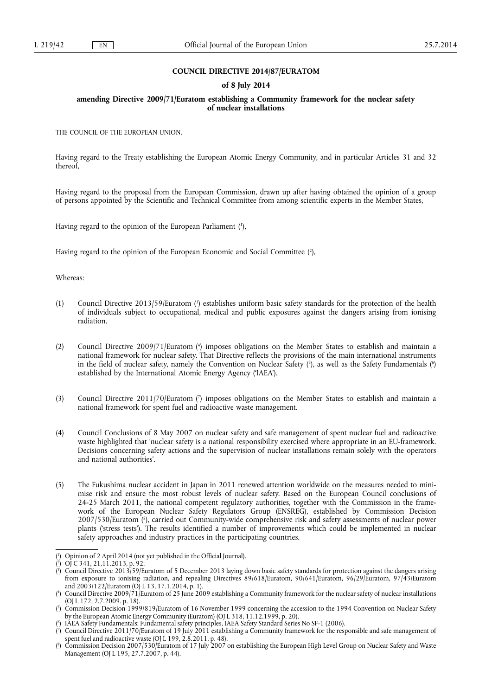### **COUNCIL DIRECTIVE 2014/87/EURATOM**

## **of 8 July 2014**

## **amending Directive 2009/71/Euratom establishing a Community framework for the nuclear safety of nuclear installations**

THE COUNCIL OF THE EUROPEAN UNION,

Having regard to the Treaty establishing the European Atomic Energy Community, and in particular Articles 31 and 32 thereof,

Having regard to the proposal from the European Commission, drawn up after having obtained the opinion of a group of persons appointed by the Scientific and Technical Committee from among scientific experts in the Member States,

Having regard to the opinion of the European Parliament ( 1 ),

Having regard to the opinion of the European Economic and Social Committee ( 2 ),

Whereas:

- (1) Council Directive 2013/59/Euratom ( 3 ) establishes uniform basic safety standards for the protection of the health of individuals subject to occupational, medical and public exposures against the dangers arising from ionising radiation.
- (2) Council Directive 2009/71/Euratom ( 4 ) imposes obligations on the Member States to establish and maintain a national framework for nuclear safety. That Directive reflects the provisions of the main international instruments in the field of nuclear safety, namely the Convention on Nuclear Safety (5), as well as the Safety Fundamentals (6) established by the International Atomic Energy Agency ('IAEA').
- (3) Council Directive 2011/70/Euratom ( 7 ) imposes obligations on the Member States to establish and maintain a national framework for spent fuel and radioactive waste management.
- (4) Council Conclusions of 8 May 2007 on nuclear safety and safe management of spent nuclear fuel and radioactive waste highlighted that 'nuclear safety is a national responsibility exercised where appropriate in an EU-framework. Decisions concerning safety actions and the supervision of nuclear installations remain solely with the operators and national authorities'.
- (5) The Fukushima nuclear accident in Japan in 2011 renewed attention worldwide on the measures needed to minimise risk and ensure the most robust levels of nuclear safety. Based on the European Council conclusions of 24-25 March 2011, the national competent regulatory authorities, together with the Commission in the framework of the European Nuclear Safety Regulators Group (ENSREG), established by Commission Decision 2007/530/Euratom ( 8 ), carried out Community-wide comprehensive risk and safety assessments of nuclear power plants ('stress tests'). The results identified a number of improvements which could be implemented in nuclear safety approaches and industry practices in the participating countries.

<sup>(</sup> 1 ) Opinion of 2 April 2014 (not yet published in the Official Journal).

<sup>(</sup> 2 ) OJ C 341, 21.11.2013, p. 92.

<sup>(</sup> 3 ) Council Directive 2013/59/Euratom of 5 December 2013 laying down basic safety standards for protection against the dangers arising from exposure to ionising radiation, and repealing Directives 89/618/Euratom, 90/641/Euratom, 96/29/Euratom, 97/43/Euratom and 2003/122/Euratom (OJ L 13, 17.1.2014, p. 1).

<sup>(</sup> 4 ) Council Directive 2009/71/Euratom of 25 June 2009 establishing a Community framework for the nuclear safety of nuclear installations (OJ L 172, 2.7.2009. p. 18).

<sup>(</sup> 5 ) Commission Decision 1999/819/Euratom of 16 November 1999 concerning the accession to the 1994 Convention on Nuclear Safety by the European Atomic Energy Community (Euratom) (OJ L 318, 11.12.1999, p. 20).

<sup>(</sup> 6 ) IAEA Safety Fundamentals: Fundamental safety principles, IAEA Safety Standard Series No SF-1 (2006).

<sup>(</sup> 7 ) Council Directive 2011/70/Euratom of 19 July 2011 establishing a Community framework for the responsible and safe management of spent fuel and radioactive waste (OJ L 199, 2.8.2011. p. 48).

<sup>(</sup> 8 ) Commission Decision 2007/530/Euratom of 17 July 2007 on establishing the European High Level Group on Nuclear Safety and Waste Management (OJ L 195, 27.7.2007, p. 44).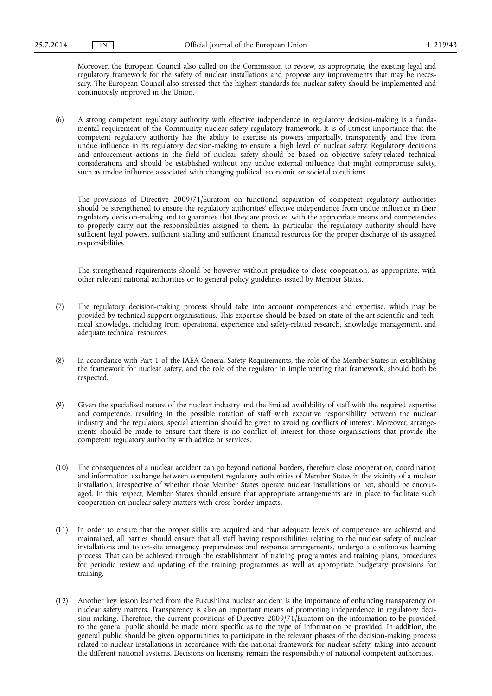Moreover, the European Council also called on the Commission to review, as appropriate, the existing legal and regulatory framework for the safety of nuclear installations and propose any improvements that may be necessary. The European Council also stressed that the highest standards for nuclear safety should be implemented and continuously improved in the Union.

(6) A strong competent regulatory authority with effective independence in regulatory decision-making is a fundamental requirement of the Community nuclear safety regulatory framework. It is of utmost importance that the competent regulatory authority has the ability to exercise its powers impartially, transparently and free from undue influence in its regulatory decision-making to ensure a high level of nuclear safety. Regulatory decisions and enforcement actions in the field of nuclear safety should be based on objective safety-related technical considerations and should be established without any undue external influence that might compromise safety, such as undue influence associated with changing political, economic or societal conditions.

The provisions of Directive 2009/71/Euratom on functional separation of competent regulatory authorities should be strengthened to ensure the regulatory authorities' effective independence from undue influence in their regulatory decision-making and to guarantee that they are provided with the appropriate means and competencies to properly carry out the responsibilities assigned to them. In particular, the regulatory authority should have sufficient legal powers, sufficient staffing and sufficient financial resources for the proper discharge of its assigned responsibilities.

The strengthened requirements should be however without prejudice to close cooperation, as appropriate, with other relevant national authorities or to general policy guidelines issued by Member States.

- (7) The regulatory decision-making process should take into account competences and expertise, which may be provided by technical support organisations. This expertise should be based on state-of-the-art scientific and technical knowledge, including from operational experience and safety-related research, knowledge management, and adequate technical resources.
- (8) In accordance with Part 1 of the IAEA General Safety Requirements, the role of the Member States in establishing the framework for nuclear safety, and the role of the regulator in implementing that framework, should both be respected.
- (9) Given the specialised nature of the nuclear industry and the limited availability of staff with the required expertise and competence, resulting in the possible rotation of staff with executive responsibility between the nuclear industry and the regulators, special attention should be given to avoiding conflicts of interest. Moreover, arrangements should be made to ensure that there is no conflict of interest for those organisations that provide the competent regulatory authority with advice or services.
- (10) The consequences of a nuclear accident can go beyond national borders, therefore close cooperation, coordination and information exchange between competent regulatory authorities of Member States in the vicinity of a nuclear installation, irrespective of whether those Member States operate nuclear installations or not, should be encouraged. In this respect, Member States should ensure that appropriate arrangements are in place to facilitate such cooperation on nuclear safety matters with cross-border impacts.
- (11) In order to ensure that the proper skills are acquired and that adequate levels of competence are achieved and maintained, all parties should ensure that all staff having responsibilities relating to the nuclear safety of nuclear installations and to on-site emergency preparedness and response arrangements, undergo a continuous learning process. That can be achieved through the establishment of training programmes and training plans, procedures for periodic review and updating of the training programmes as well as appropriate budgetary provisions for training.
- (12) Another key lesson learned from the Fukushima nuclear accident is the importance of enhancing transparency on nuclear safety matters. Transparency is also an important means of promoting independence in regulatory decision-making. Therefore, the current provisions of Directive 2009/71/Euratom on the information to be provided to the general public should be made more specific as to the type of information be provided. In addition, the general public should be given opportunities to participate in the relevant phases of the decision-making process related to nuclear installations in accordance with the national framework for nuclear safety, taking into account the different national systems. Decisions on licensing remain the responsibility of national competent authorities.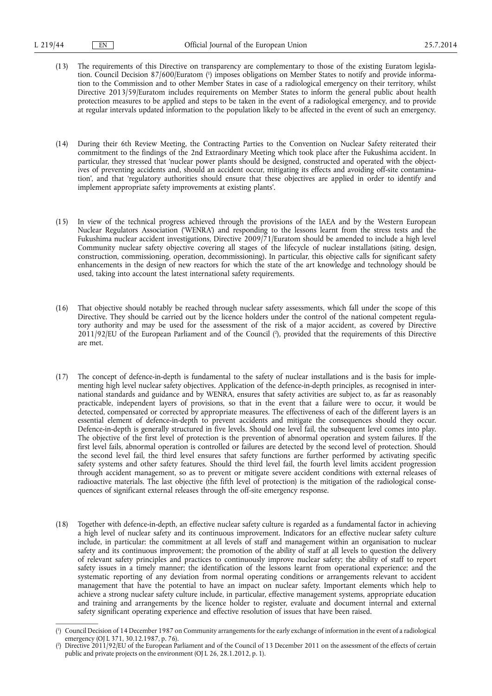- (13) The requirements of this Directive on transparency are complementary to those of the existing Euratom legislation. Council Decision 87/600/Euratom ( 1 ) imposes obligations on Member States to notify and provide information to the Commission and to other Member States in case of a radiological emergency on their territory, whilst Directive 2013/59/Euratom includes requirements on Member States to inform the general public about health protection measures to be applied and steps to be taken in the event of a radiological emergency, and to provide at regular intervals updated information to the population likely to be affected in the event of such an emergency.
- (14) During their 6th Review Meeting, the Contracting Parties to the Convention on Nuclear Safety reiterated their commitment to the findings of the 2nd Extraordinary Meeting which took place after the Fukushima accident. In particular, they stressed that 'nuclear power plants should be designed, constructed and operated with the objectives of preventing accidents and, should an accident occur, mitigating its effects and avoiding off-site contamination', and that 'regulatory authorities should ensure that these objectives are applied in order to identify and implement appropriate safety improvements at existing plants'.
- (15) In view of the technical progress achieved through the provisions of the IAEA and by the Western European Nuclear Regulators Association ('WENRA') and responding to the lessons learnt from the stress tests and the Fukushima nuclear accident investigations, Directive 2009/71/Euratom should be amended to include a high level Community nuclear safety objective covering all stages of the lifecycle of nuclear installations (siting, design, construction, commissioning, operation, decommissioning). In particular, this objective calls for significant safety enhancements in the design of new reactors for which the state of the art knowledge and technology should be used, taking into account the latest international safety requirements.
- (16) That objective should notably be reached through nuclear safety assessments, which fall under the scope of this Directive. They should be carried out by the licence holders under the control of the national competent regulatory authority and may be used for the assessment of the risk of a major accident, as covered by Directive 2011/92/EU of the European Parliament and of the Council ( 2 ), provided that the requirements of this Directive are met.
- (17) The concept of defence-in-depth is fundamental to the safety of nuclear installations and is the basis for implementing high level nuclear safety objectives. Application of the defence-in-depth principles, as recognised in international standards and guidance and by WENRA, ensures that safety activities are subject to, as far as reasonably practicable, independent layers of provisions, so that in the event that a failure were to occur, it would be detected, compensated or corrected by appropriate measures. The effectiveness of each of the different layers is an essential element of defence-in-depth to prevent accidents and mitigate the consequences should they occur. Defence-in-depth is generally structured in five levels. Should one level fail, the subsequent level comes into play. The objective of the first level of protection is the prevention of abnormal operation and system failures. If the first level fails, abnormal operation is controlled or failures are detected by the second level of protection. Should the second level fail, the third level ensures that safety functions are further performed by activating specific safety systems and other safety features. Should the third level fail, the fourth level limits accident progression through accident management, so as to prevent or mitigate severe accident conditions with external releases of radioactive materials. The last objective (the fifth level of protection) is the mitigation of the radiological consequences of significant external releases through the off-site emergency response.
- (18) Together with defence-in-depth, an effective nuclear safety culture is regarded as a fundamental factor in achieving a high level of nuclear safety and its continuous improvement. Indicators for an effective nuclear safety culture include, in particular: the commitment at all levels of staff and management within an organisation to nuclear safety and its continuous improvement; the promotion of the ability of staff at all levels to question the delivery of relevant safety principles and practices to continuously improve nuclear safety; the ability of staff to report safety issues in a timely manner; the identification of the lessons learnt from operational experience; and the systematic reporting of any deviation from normal operating conditions or arrangements relevant to accident management that have the potential to have an impact on nuclear safety. Important elements which help to achieve a strong nuclear safety culture include, in particular, effective management systems, appropriate education and training and arrangements by the licence holder to register, evaluate and document internal and external safety significant operating experience and effective resolution of issues that have been raised.

<sup>(</sup> 1 ) Council Decision of 14 December 1987 on Community arrangements for the early exchange of information in the event of a radiological emergency (OJ L 371, 30.12.1987, p. 76).

<sup>(</sup> 2 ) Directive 2011/92/EU of the European Parliament and of the Council of 13 December 2011 on the assessment of the effects of certain public and private projects on the environment (OJ L 26, 28.1.2012, p. 1).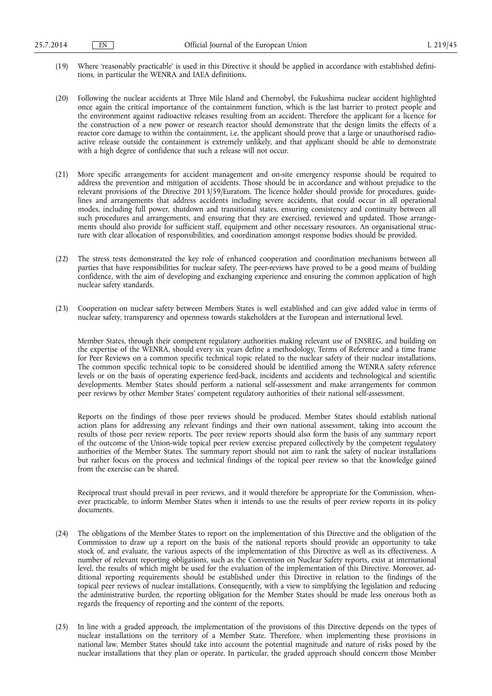- (19) Where 'reasonably practicable' is used in this Directive it should be applied in accordance with established definitions, in particular the WENRA and IAEA definitions.
- (20) Following the nuclear accidents at Three Mile Island and Chernobyl, the Fukushima nuclear accident highlighted once again the critical importance of the containment function, which is the last barrier to protect people and the environment against radioactive releases resulting from an accident. Therefore the applicant for a licence for the construction of a new power or research reactor should demonstrate that the design limits the effects of a reactor core damage to within the containment, i.e. the applicant should prove that a large or unauthorised radioactive release outside the containment is extremely unlikely, and that applicant should be able to demonstrate with a high degree of confidence that such a release will not occur.
- (21) More specific arrangements for accident management and on-site emergency response should be required to address the prevention and mitigation of accidents. Those should be in accordance and without prejudice to the relevant provisions of the Directive 2013/59/Euratom. The licence holder should provide for procedures, guidelines and arrangements that address accidents including severe accidents, that could occur in all operational modes, including full power, shutdown and transitional states, ensuring consistency and continuity between all such procedures and arrangements, and ensuring that they are exercised, reviewed and updated. Those arrangements should also provide for sufficient staff, equipment and other necessary resources. An organisational structure with clear allocation of responsibilities, and coordination amongst response bodies should be provided.
- (22) The stress tests demonstrated the key role of enhanced cooperation and coordination mechanisms between all parties that have responsibilities for nuclear safety. The peer-reviews have proved to be a good means of building confidence, with the aim of developing and exchanging experience and ensuring the common application of high nuclear safety standards.
- (23) Cooperation on nuclear safety between Members States is well established and can give added value in terms of nuclear safety, transparency and openness towards stakeholders at the European and international level.

Member States, through their competent regulatory authorities making relevant use of ENSREG, and building on the expertise of the WENRA, should every six years define a methodology, Terms of Reference and a time frame for Peer Reviews on a common specific technical topic related to the nuclear safety of their nuclear installations. The common specific technical topic to be considered should be identified among the WENRA safety reference levels or on the basis of operating experience feed-back, incidents and accidents and technological and scientific developments. Member States should perform a national self-assessment and make arrangements for common peer reviews by other Member States' competent regulatory authorities of their national self-assessment.

Reports on the findings of those peer reviews should be produced. Member States should establish national action plans for addressing any relevant findings and their own national assessment, taking into account the results of those peer review reports. The peer review reports should also form the basis of any summary report of the outcome of the Union-wide topical peer review exercise prepared collectively by the competent regulatory authorities of the Member States. The summary report should not aim to rank the safety of nuclear installations but rather focus on the process and technical findings of the topical peer review so that the knowledge gained from the exercise can be shared.

Reciprocal trust should prevail in peer reviews, and it would therefore be appropriate for the Commission, whenever practicable, to inform Member States when it intends to use the results of peer review reports in its policy documents.

- (24) The obligations of the Member States to report on the implementation of this Directive and the obligation of the Commission to draw up a report on the basis of the national reports should provide an opportunity to take stock of, and evaluate, the various aspects of the implementation of this Directive as well as its effectiveness. A number of relevant reporting obligations, such as the Convention on Nuclear Safety reports, exist at international level, the results of which might be used for the evaluation of the implementation of this Directive. Moreover, additional reporting requirements should be established under this Directive in relation to the findings of the topical peer reviews of nuclear installations. Consequently, with a view to simplifying the legislation and reducing the administrative burden, the reporting obligation for the Member States should be made less onerous both as regards the frequency of reporting and the content of the reports.
- (25) In line with a graded approach, the implementation of the provisions of this Directive depends on the types of nuclear installations on the territory of a Member State. Therefore, when implementing these provisions in national law, Member States should take into account the potential magnitude and nature of risks posed by the nuclear installations that they plan or operate. In particular, the graded approach should concern those Member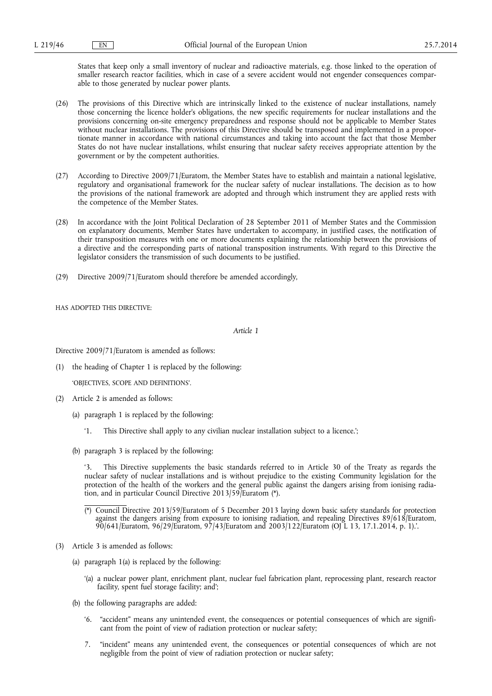States that keep only a small inventory of nuclear and radioactive materials, e.g. those linked to the operation of smaller research reactor facilities, which in case of a severe accident would not engender consequences comparable to those generated by nuclear power plants.

- (26) The provisions of this Directive which are intrinsically linked to the existence of nuclear installations, namely those concerning the licence holder's obligations, the new specific requirements for nuclear installations and the provisions concerning on-site emergency preparedness and response should not be applicable to Member States without nuclear installations. The provisions of this Directive should be transposed and implemented in a proportionate manner in accordance with national circumstances and taking into account the fact that those Member States do not have nuclear installations, whilst ensuring that nuclear safety receives appropriate attention by the government or by the competent authorities.
- (27) According to Directive 2009/71/Euratom, the Member States have to establish and maintain a national legislative, regulatory and organisational framework for the nuclear safety of nuclear installations. The decision as to how the provisions of the national framework are adopted and through which instrument they are applied rests with the competence of the Member States.
- (28) In accordance with the Joint Political Declaration of 28 September 2011 of Member States and the Commission on explanatory documents, Member States have undertaken to accompany, in justified cases, the notification of their transposition measures with one or more documents explaining the relationship between the provisions of a directive and the corresponding parts of national transposition instruments. With regard to this Directive the legislator considers the transmission of such documents to be justified.
- (29) Directive 2009/71/Euratom should therefore be amended accordingly,

HAS ADOPTED THIS DIRECTIVE:

*Article 1* 

Directive 2009/71/Euratom is amended as follows:

(1) the heading of Chapter 1 is replaced by the following:

'OBJECTIVES, SCOPE AND DEFINITIONS'.

- (2) Article 2 is amended as follows:
	- (a) paragraph 1 is replaced by the following:
		- '1. This Directive shall apply to any civilian nuclear installation subject to a licence.';
	- (b) paragraph 3 is replaced by the following:

This Directive supplements the basic standards referred to in Article 30 of the Treaty as regards the nuclear safety of nuclear installations and is without prejudice to the existing Community legislation for the protection of the health of the workers and the general public against the dangers arising from ionising radiation, and in particular Council Directive 2013/59/Euratom (\*).

- (\*) Council Directive 2013/59/Euratom of 5 December 2013 laying down basic safety standards for protection against the dangers arising from exposure to ionising radiation, and repealing Directives 89/618/Euratom, 90/641/Euratom, 96/29/Euratom, 97/43/Euratom and 2003/122/Euratom (OJ L 13, 17.1.2014, p. 1).'.
- (3) Article 3 is amended as follows:
	- (a) paragraph 1(a) is replaced by the following:
		- '(a) a nuclear power plant, enrichment plant, nuclear fuel fabrication plant, reprocessing plant, research reactor facility, spent fuel storage facility; and';
	- (b) the following paragraphs are added:
		- '6. "accident" means any unintended event, the consequences or potential consequences of which are significant from the point of view of radiation protection or nuclear safety;
		- 7. "incident" means any unintended event, the consequences or potential consequences of which are not negligible from the point of view of radiation protection or nuclear safety;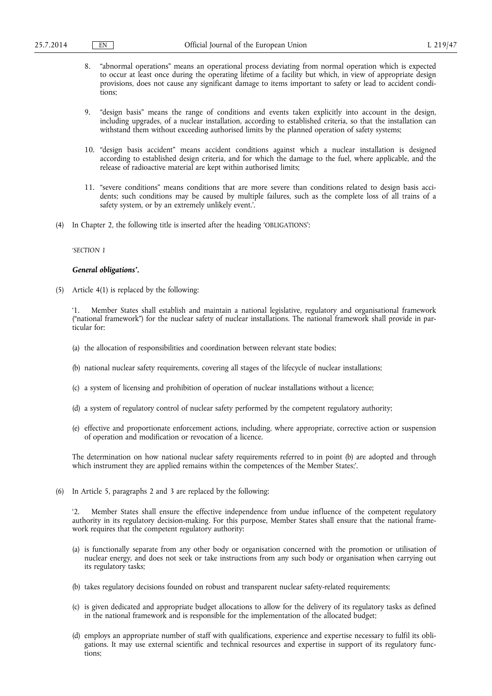- 8. "abnormal operations" means an operational process deviating from normal operation which is expected to occur at least once during the operating lifetime of a facility but which, in view of appropriate design provisions, does not cause any significant damage to items important to safety or lead to accident conditions;
- 9. "design basis" means the range of conditions and events taken explicitly into account in the design, including upgrades, of a nuclear installation, according to established criteria, so that the installation can withstand them without exceeding authorised limits by the planned operation of safety systems;
- 10. "design basis accident" means accident conditions against which a nuclear installation is designed according to established design criteria, and for which the damage to the fuel, where applicable, and the release of radioactive material are kept within authorised limits;
- 11. "severe conditions" means conditions that are more severe than conditions related to design basis accidents; such conditions may be caused by multiple failures, such as the complete loss of all trains of a safety system, or by an extremely unlikely event.'.
- (4) In Chapter 2, the following title is inserted after the heading 'OBLIGATIONS':

### *'SECTION 1*

#### *General obligations'.*

(5) Article 4(1) is replaced by the following:

'1. Member States shall establish and maintain a national legislative, regulatory and organisational framework ("national framework") for the nuclear safety of nuclear installations. The national framework shall provide in particular for:

- (a) the allocation of responsibilities and coordination between relevant state bodies;
- (b) national nuclear safety requirements, covering all stages of the lifecycle of nuclear installations;
- (c) a system of licensing and prohibition of operation of nuclear installations without a licence;
- (d) a system of regulatory control of nuclear safety performed by the competent regulatory authority;
- (e) effective and proportionate enforcement actions, including, where appropriate, corrective action or suspension of operation and modification or revocation of a licence.

The determination on how national nuclear safety requirements referred to in point (b) are adopted and through which instrument they are applied remains within the competences of the Member States;'.

(6) In Article 5, paragraphs 2 and 3 are replaced by the following:

'2. Member States shall ensure the effective independence from undue influence of the competent regulatory authority in its regulatory decision-making. For this purpose, Member States shall ensure that the national framework requires that the competent regulatory authority:

- (a) is functionally separate from any other body or organisation concerned with the promotion or utilisation of nuclear energy, and does not seek or take instructions from any such body or organisation when carrying out its regulatory tasks;
- (b) takes regulatory decisions founded on robust and transparent nuclear safety-related requirements;
- (c) is given dedicated and appropriate budget allocations to allow for the delivery of its regulatory tasks as defined in the national framework and is responsible for the implementation of the allocated budget;
- (d) employs an appropriate number of staff with qualifications, experience and expertise necessary to fulfil its obligations. It may use external scientific and technical resources and expertise in support of its regulatory functions;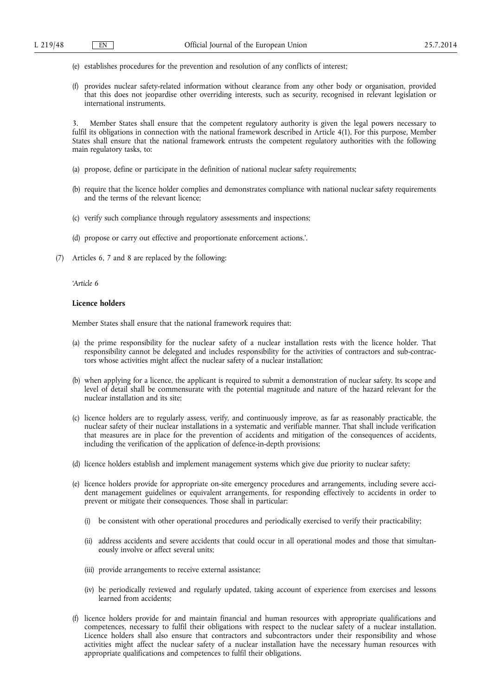- (e) establishes procedures for the prevention and resolution of any conflicts of interest;
- (f) provides nuclear safety-related information without clearance from any other body or organisation, provided that this does not jeopardise other overriding interests, such as security, recognised in relevant legislation or international instruments.

3. Member States shall ensure that the competent regulatory authority is given the legal powers necessary to fulfil its obligations in connection with the national framework described in Article 4(1). For this purpose, Member States shall ensure that the national framework entrusts the competent regulatory authorities with the following main regulatory tasks, to:

- (a) propose, define or participate in the definition of national nuclear safety requirements;
- (b) require that the licence holder complies and demonstrates compliance with national nuclear safety requirements and the terms of the relevant licence;
- (c) verify such compliance through regulatory assessments and inspections;
- (d) propose or carry out effective and proportionate enforcement actions.'.
- (7) Articles 6, 7 and 8 are replaced by the following:

*'Article 6* 

#### **Licence holders**

Member States shall ensure that the national framework requires that:

- (a) the prime responsibility for the nuclear safety of a nuclear installation rests with the licence holder. That responsibility cannot be delegated and includes responsibility for the activities of contractors and sub-contractors whose activities might affect the nuclear safety of a nuclear installation;
- (b) when applying for a licence, the applicant is required to submit a demonstration of nuclear safety. Its scope and level of detail shall be commensurate with the potential magnitude and nature of the hazard relevant for the nuclear installation and its site;
- (c) licence holders are to regularly assess, verify, and continuously improve, as far as reasonably practicable, the nuclear safety of their nuclear installations in a systematic and verifiable manner. That shall include verification that measures are in place for the prevention of accidents and mitigation of the consequences of accidents, including the verification of the application of defence-in-depth provisions;
- (d) licence holders establish and implement management systems which give due priority to nuclear safety;
- (e) licence holders provide for appropriate on-site emergency procedures and arrangements, including severe accident management guidelines or equivalent arrangements, for responding effectively to accidents in order to prevent or mitigate their consequences. Those shall in particular:
	- (i) be consistent with other operational procedures and periodically exercised to verify their practicability;
	- (ii) address accidents and severe accidents that could occur in all operational modes and those that simultaneously involve or affect several units;
	- (iii) provide arrangements to receive external assistance;
	- (iv) be periodically reviewed and regularly updated, taking account of experience from exercises and lessons learned from accidents;
- (f) licence holders provide for and maintain financial and human resources with appropriate qualifications and competences, necessary to fulfil their obligations with respect to the nuclear safety of a nuclear installation. Licence holders shall also ensure that contractors and subcontractors under their responsibility and whose activities might affect the nuclear safety of a nuclear installation have the necessary human resources with appropriate qualifications and competences to fulfil their obligations.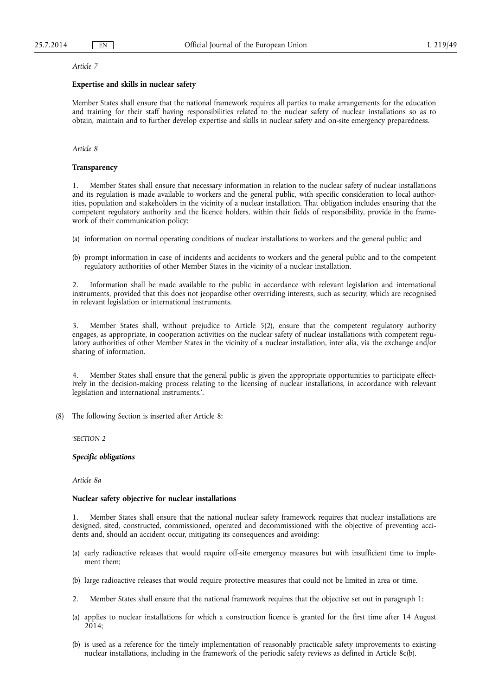#### *Article 7*

## **Expertise and skills in nuclear safety**

Member States shall ensure that the national framework requires all parties to make arrangements for the education and training for their staff having responsibilities related to the nuclear safety of nuclear installations so as to obtain, maintain and to further develop expertise and skills in nuclear safety and on-site emergency preparedness.

### *Article 8*

## **Transparency**

1. Member States shall ensure that necessary information in relation to the nuclear safety of nuclear installations and its regulation is made available to workers and the general public, with specific consideration to local authorities, population and stakeholders in the vicinity of a nuclear installation. That obligation includes ensuring that the competent regulatory authority and the licence holders, within their fields of responsibility, provide in the framework of their communication policy:

(a) information on normal operating conditions of nuclear installations to workers and the general public; and

(b) prompt information in case of incidents and accidents to workers and the general public and to the competent regulatory authorities of other Member States in the vicinity of a nuclear installation.

2. Information shall be made available to the public in accordance with relevant legislation and international instruments, provided that this does not jeopardise other overriding interests, such as security, which are recognised in relevant legislation or international instruments.

3. Member States shall, without prejudice to Article 5(2), ensure that the competent regulatory authority engages, as appropriate, in cooperation activities on the nuclear safety of nuclear installations with competent regulatory authorities of other Member States in the vicinity of a nuclear installation, inter alia, via the exchange and/or sharing of information.

4. Member States shall ensure that the general public is given the appropriate opportunities to participate effectively in the decision-making process relating to the licensing of nuclear installations, in accordance with relevant legislation and international instruments.'.

(8) The following Section is inserted after Article 8:

*'SECTION 2* 

## *Specific obligations*

*Article 8a* 

#### **Nuclear safety objective for nuclear installations**

Member States shall ensure that the national nuclear safety framework requires that nuclear installations are designed, sited, constructed, commissioned, operated and decommissioned with the objective of preventing accidents and, should an accident occur, mitigating its consequences and avoiding:

- (a) early radioactive releases that would require off-site emergency measures but with insufficient time to implement them;
- (b) large radioactive releases that would require protective measures that could not be limited in area or time.
- 2. Member States shall ensure that the national framework requires that the objective set out in paragraph 1:
- (a) applies to nuclear installations for which a construction licence is granted for the first time after 14 August 2014;
- (b) is used as a reference for the timely implementation of reasonably practicable safety improvements to existing nuclear installations, including in the framework of the periodic safety reviews as defined in Article 8c(b).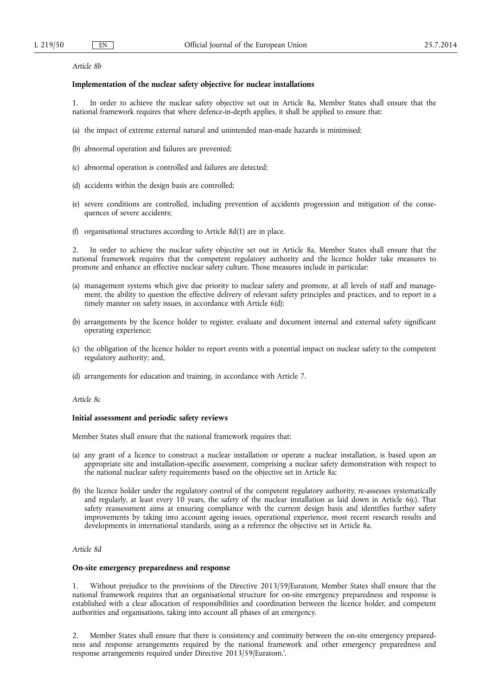### *Article 8b*

## **Implementation of the nuclear safety objective for nuclear installations**

1. In order to achieve the nuclear safety objective set out in Article 8a, Member States shall ensure that the national framework requires that where defence-in-depth applies, it shall be applied to ensure that:

- (a) the impact of extreme external natural and unintended man-made hazards is minimised;
- (b) abnormal operation and failures are prevented;
- (c) abnormal operation is controlled and failures are detected;
- (d) accidents within the design basis are controlled;
- (e) severe conditions are controlled, including prevention of accidents progression and mitigation of the consequences of severe accidents;
- (f) organisational structures according to Article 8d(1) are in place.

2. In order to achieve the nuclear safety objective set out in Article 8a, Member States shall ensure that the national framework requires that the competent regulatory authority and the licence holder take measures to promote and enhance an effective nuclear safety culture. Those measures include in particular:

- (a) management systems which give due priority to nuclear safety and promote, at all levels of staff and management, the ability to question the effective delivery of relevant safety principles and practices, and to report in a timely manner on safety issues, in accordance with Article 6(d);
- (b) arrangements by the licence holder to register, evaluate and document internal and external safety significant operating experience;
- (c) the obligation of the licence holder to report events with a potential impact on nuclear safety to the competent regulatory authority; and,
- (d) arrangements for education and training, in accordance with Article 7.

*Article 8c* 

### **Initial assessment and periodic safety reviews**

Member States shall ensure that the national framework requires that:

- (a) any grant of a licence to construct a nuclear installation or operate a nuclear installation, is based upon an appropriate site and installation-specific assessment, comprising a nuclear safety demonstration with respect to the national nuclear safety requirements based on the objective set in Article 8a;
- (b) the licence holder under the regulatory control of the competent regulatory authority, re-assesses systematically and regularly, at least every 10 years, the safety of the nuclear installation as laid down in Article 6(c). That safety reassessment aims at ensuring compliance with the current design basis and identifies further safety improvements by taking into account ageing issues, operational experience, most recent research results and developments in international standards, using as a reference the objective set in Article 8a.

### *Article 8d*

## **On-site emergency preparedness and response**

1. Without prejudice to the provisions of the Directive 2013/59/Euratom, Member States shall ensure that the national framework requires that an organisational structure for on-site emergency preparedness and response is established with a clear allocation of responsibilities and coordination between the licence holder, and competent authorities and organisations, taking into account all phases of an emergency.

2. Member States shall ensure that there is consistency and continuity between the on-site emergency preparedness and response arrangements required by the national framework and other emergency preparedness and response arrangements required under Directive 2013/59/Euratom.'.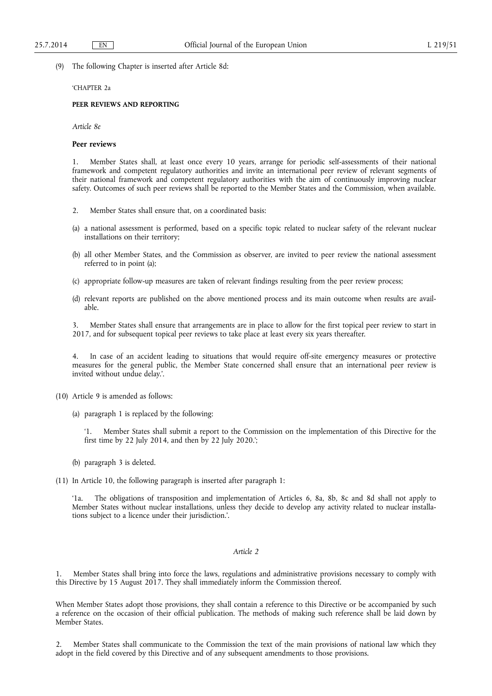(9) The following Chapter is inserted after Article 8d:

### 'CHAPTER 2a

# **PEER REVIEWS AND REPORTING**

*Article 8e* 

#### **Peer reviews**

1. Member States shall, at least once every 10 years, arrange for periodic self-assessments of their national framework and competent regulatory authorities and invite an international peer review of relevant segments of their national framework and competent regulatory authorities with the aim of continuously improving nuclear safety. Outcomes of such peer reviews shall be reported to the Member States and the Commission, when available.

- 2. Member States shall ensure that, on a coordinated basis:
- (a) a national assessment is performed, based on a specific topic related to nuclear safety of the relevant nuclear installations on their territory;
- (b) all other Member States, and the Commission as observer, are invited to peer review the national assessment referred to in point (a);
- (c) appropriate follow-up measures are taken of relevant findings resulting from the peer review process;
- (d) relevant reports are published on the above mentioned process and its main outcome when results are available.

3. Member States shall ensure that arrangements are in place to allow for the first topical peer review to start in 2017, and for subsequent topical peer reviews to take place at least every six years thereafter.

In case of an accident leading to situations that would require off-site emergency measures or protective measures for the general public, the Member State concerned shall ensure that an international peer review is invited without undue delay.'.

(10) Article 9 is amended as follows:

(a) paragraph 1 is replaced by the following:

'1. Member States shall submit a report to the Commission on the implementation of this Directive for the first time by 22 July 2014, and then by 22 July 2020.';

(b) paragraph 3 is deleted.

(11) In Article 10, the following paragraph is inserted after paragraph 1:

The obligations of transposition and implementation of Articles 6, 8a, 8b, 8c and 8d shall not apply to Member States without nuclear installations, unless they decide to develop any activity related to nuclear installations subject to a licence under their jurisdiction.'.

#### *Article 2*

Member States shall bring into force the laws, regulations and administrative provisions necessary to comply with this Directive by 15 August 2017. They shall immediately inform the Commission thereof.

When Member States adopt those provisions, they shall contain a reference to this Directive or be accompanied by such a reference on the occasion of their official publication. The methods of making such reference shall be laid down by Member States.

2. Member States shall communicate to the Commission the text of the main provisions of national law which they adopt in the field covered by this Directive and of any subsequent amendments to those provisions.